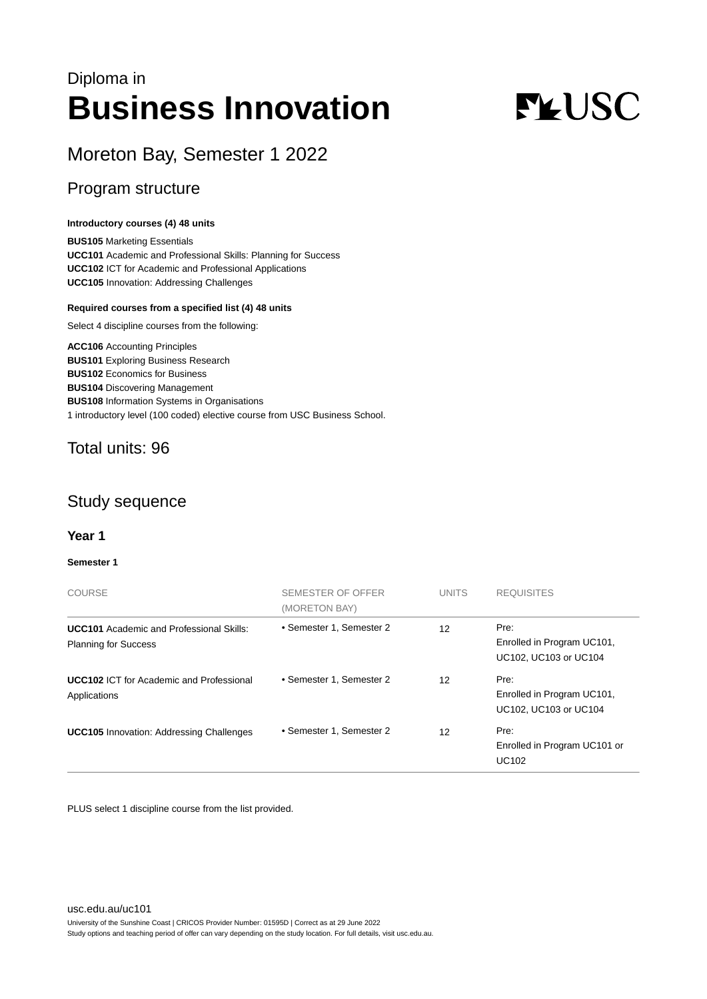## Diploma in **Business Innovation**

# **FLUSC**

## Moreton Bay, Semester 1 2022

## Program structure

#### **Introductory courses (4) 48 units**

**BUS105** Marketing Essentials **UCC101** Academic and Professional Skills: Planning for Success **UCC102** ICT for Academic and Professional Applications **UCC105** Innovation: Addressing Challenges

#### **Required courses from a specified list (4) 48 units**

Select 4 discipline courses from the following:

**ACC106** Accounting Principles **BUS101** Exploring Business Research **BUS102** Economics for Business **BUS104** Discovering Management **BUS108** Information Systems in Organisations 1 introductory level (100 coded) elective course from USC Business School.

## Total units: 96

## Study sequence

### **Year 1**

#### **Semester 1**

| <b>COURSE</b>                                                                  | SEMESTER OF OFFER<br>(MORETON BAY) | <b>UNITS</b>      | <b>REQUISITES</b>                                           |  |
|--------------------------------------------------------------------------------|------------------------------------|-------------------|-------------------------------------------------------------|--|
| <b>UCC101</b> Academic and Professional Skills:<br><b>Planning for Success</b> | • Semester 1, Semester 2           | $12 \overline{ }$ | Pre:<br>Enrolled in Program UC101,<br>UC102, UC103 or UC104 |  |
| <b>UCC102 ICT for Academic and Professional</b><br>Applications                | • Semester 1, Semester 2           | 12                | Pre:<br>Enrolled in Program UC101,<br>UC102, UC103 or UC104 |  |
| <b>UCC105</b> Innovation: Addressing Challenges                                | • Semester 1, Semester 2           | 12                | Pre:<br>Enrolled in Program UC101 or<br><b>UC102</b>        |  |

PLUS select 1 discipline course from the list provided.